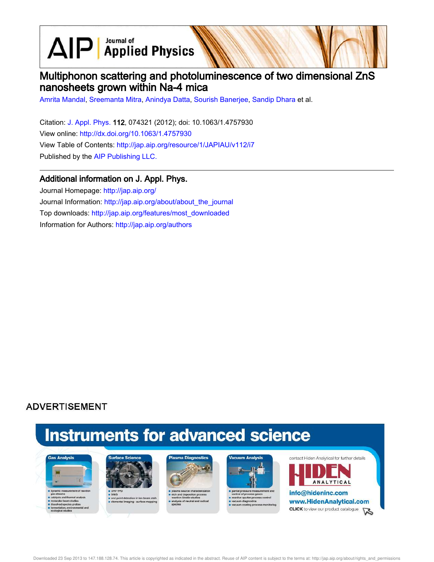$\text{AlP}$  Applied Physics

# Multiphonon scattering and photoluminescence of two dimensional ZnS nanosheets grown within Na-4 mica

Amrita Mandal, Sreemanta Mitra, Anindya Datta, Sourish Banerjee, Sandip Dhara et al.

Citation: J. Appl. Phys. 112, 074321 (2012); doi: 10.1063/1.4757930 View online: http://dx.doi.org/10.1063/1.4757930 View Table of Contents: http://jap.aip.org/resource/1/JAPIAU/v112/i7 Published by the AIP Publishing LLC.

## Additional information on J. Appl. Phys.

Journal Homepage: http://jap.aip.org/ Journal Information: http://jap.aip.org/about/about\_the\_journal Top downloads: http://jap.aip.org/features/most\_downloaded Information for Authors: http://jap.aip.org/authors

## **ADVERTISEMENT**

# **Instruments for advanced science**





s end point detection in ion bear<br>selemental imaging - surface m





re sputter pri cess control





Downloaded 23 Sep 2013 to 147.188.128.74. This article is copyrighted as indicated in the abstract. Reuse of AIP content is subject to the terms at: http://jap.aip.org/about/rights\_and\_permissions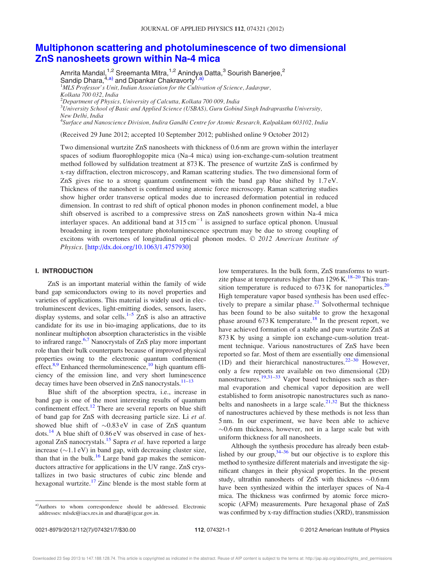### Multiphonon scattering and photoluminescence of two dimensional ZnS nanosheets grown within Na-4 mica

Amrita Mandal,<sup>1,2</sup> Sreemanta Mitra,<sup>1,2</sup> Anindya Datta,<sup>3</sup> Sourish Banerjee,<sup>2</sup> Sandip Dhara,<sup>4,a)</sup> and Dipankar Chakravorty<sup>1,a)</sup>  $1$ MLS Professor's Unit, Indian Association for the Cultivation of Science, Jadavpur, Kolkata 700 032, India  $^{2}$ Department of Physics, University of Calcutta, Kolkata 700 009, India  $^3$ University School of Basic and Applied Science (USBAS), Guru Gobind Singh Indraprastha University, New Delhi, India <sup>4</sup>Surface and Nanoscience Division, Indira Gandhi Centre for Atomic Research, Kalpakkam 603102, India

(Received 29 June 2012; accepted 10 September 2012; published online 9 October 2012)

Two dimensional wurtzite ZnS nanosheets with thickness of 0.6 nm are grown within the interlayer spaces of sodium fluorophlogopite mica (Na-4 mica) using ion-exchange-cum-solution treatment method followed by sulfidation treatment at 873 K. The presence of wurtzite ZnS is confirmed by x-ray diffraction, electron microscopy, and Raman scattering studies. The two dimensional form of ZnS gives rise to a strong quantum confinement with the band gap blue shifted by  $1.7 \text{ eV}$ . Thickness of the nanosheet is confirmed using atomic force microscopy. Raman scattering studies show higher order transverse optical modes due to increased deformation potential in reduced dimension. In contrast to red shift of optical phonon modes in phonon confinement model, a blue shift observed is ascribed to a compressive stress on ZnS nanosheets grown within Na-4 mica interlayer spaces. An additional band at  $315 \text{ cm}^{-1}$  is assigned to surface optical phonon. Unusual broadening in room temperature photoluminescence spectrum may be due to strong coupling of excitons with overtones of longitudinal optical phonon modes.  $\oslash$  2012 American Institute of Physics. [http://dx.doi.org/10.1063/1.4757930]

#### I. INTRODUCTION

ZnS is an important material within the family of wide band gap semiconductors owing to its novel properties and varieties of applications. This material is widely used in electroluminescent devices, light-emitting diodes, sensors, lasers, display systems, and solar cells.<sup>1–5</sup>  $ZnS$  is also an attractive candidate for its use in bio-imaging applications, due to its nonlinear multiphoton absorption characteristics in the visible to infrared range. $6,7$  Nanocrystals of ZnS play more important role than their bulk counterparts because of improved physical properties owing to the electronic quantum confinement effect.<sup>8,9</sup> Enhanced thermoluminescence,<sup>10</sup> high quantum efficiency of the emission line, and very short luminescence decay times have been observed in ZnS nanocrystals. $11-13$ 

Blue shift of the absorption spectra, i.e., increase in band gap is one of the most interesting results of quantum confinement effect. $12$  There are several reports on blue shift of band gap for ZnS with decreasing particle size. Li et al. showed blue shift of  $\sim 0.83 \text{ eV}$  in case of ZnS quantum dots.<sup>14</sup> A blue shift of  $0.86 \text{ eV}$  was observed in case of hexagonal ZnS nanocrystals.<sup>15</sup> Sapra et al. have reported a large increase  $(\sim 1.1 \text{ eV})$  in band gap, with decreasing cluster size, than that in the bulk.<sup>16</sup> Large band gap makes the semiconductors attractive for applications in the UV range. ZnS crystallizes in two basic structures of cubic zinc blende and hexagonal wurtzite. $17$  Zinc blende is the most stable form at low temperatures. In the bulk form, ZnS transforms to wurtzite phase at temperatures higher than  $1296 \text{ K}$ .<sup>18–20</sup> This transition temperature is reduced to  $673 \text{ K}$  for nanoparticles.<sup>20</sup> High temperature vapor based synthesis has been used effectively to prepare a similar phase.<sup>21</sup> Solvothermal technique has been found to be also suitable to grow the hexagonal phase around  $673 \text{ K}$  temperature.<sup>18</sup> In the present report, we have achieved formation of a stable and pure wurtzite ZnS at 873 K by using a simple ion exchange-cum-solution treatment technique. Various nanostructures of ZnS have been reported so far. Most of them are essentially one dimensional (1D) and their hierarchical nanostructures.<sup>22–30</sup> However, only a few reports are available on two dimensional (2D) nanostructures.<sup>19,31–33</sup> Vapor based techniques such as thermal evaporation and chemical vapor deposition are well established to form anisotropic nanostructures such as nanobelts and nanosheets in a large scale.<sup>21,32</sup> But the thickness of nanostructures achieved by these methods is not less than 5 nm. In our experiment, we have been able to achieve  $\sim 0.6$  nm thickness, however, not in a large scale but with uniform thickness for all nanosheets.

Although the synthesis procedure has already been established by our group,  $34-36$  but our objective is to explore this method to synthesize different materials and investigate the significant changes in their physical properties. In the present study, ultrathin nanosheets of ZnS with thickness  $\sim 0.6$  nm have been synthesized within the interlayer spaces of Na-4 mica. The thickness was confirmed by atomic force microscopic (AFM) measurements. Pure hexagonal phase of ZnS was confirmed by x-ray diffraction studies (XRD), transmission

<sup>&</sup>lt;sup>a)</sup>Authors to whom correspondence should be addressed. Electronic addresses: mlsdc@iacs.res.in and dhara@igcar.gov.in.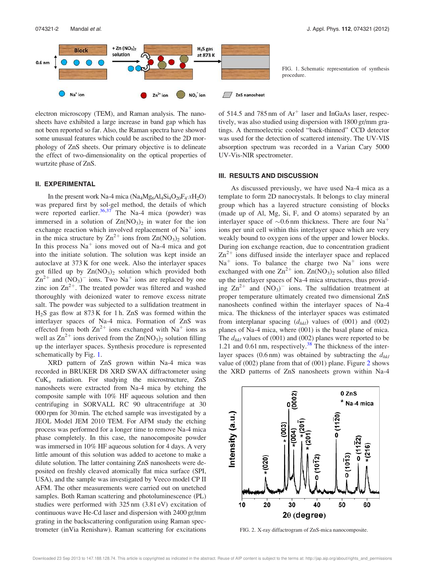

electron microscopy (TEM), and Raman analysis. The nanosheets have exhibited a large increase in band gap which has not been reported so far. Also, the Raman spectra have showed some unusual features which could be ascribed to the 2D morphology of ZnS sheets. Our primary objective is to delineate the effect of two-dimensionality on the optical properties of wurtzite phase of ZnS.

#### II. EXPERIMENTAL

In the present work Na-4 mica  $(Na_4Mg_6Al_4Si_4O_{20}F_4 \cdot xH_2O)$ was prepared first by sol-gel method, the details of which were reported earlier.  $36,37$  The Na-4 mica (powder) was immersed in a solution of  $Zn(NO<sub>3</sub>)<sub>2</sub>$  in water for the ion exchange reaction which involved replacement of  $Na<sup>+</sup>$  ions in the mica structure by  $\text{Zn}^{2+}$  ions from  $\text{Zn}(\text{NO}_3)_2$  solution. In this process  $Na<sup>+</sup>$  ions moved out of Na-4 mica and got into the initiate solution. The solution was kept inside an autoclave at 373 K for one week. Also the interlayer spaces got filled up by  $Zn(NO<sub>3</sub>)<sub>2</sub>$  solution which provided both  $\text{Zn}^{2+}$  and  $(\text{NO}_3)$ <sup>-</sup> ions. Two Na<sup>+</sup> ions are replaced by one zinc ion  $\text{Zn}^{2+}$ . The treated powder was filtered and washed thoroughly with deionized water to remove excess nitrate salt. The powder was subjected to a sulfidation treatment in H2S gas flow at 873 K for 1 h. ZnS was formed within the interlayer spaces of Na-4 mica. Formation of ZnS was effected from both  $\text{Zn}^{2+}$  ions exchanged with Na<sup>+</sup> ions as well as  $\text{Zn}^{2+}$  ions derived from the  $\text{Zn}(\text{NO}_3)_2$  solution filling up the interlayer spaces. Synthesis procedure is represented schematically by Fig. 1.

XRD pattern of ZnS grown within Na-4 mica was recorded in BRUKER D8 XRD SWAX diffractometer using  $CuK_{\alpha}$  radiation. For studying the microstructure, ZnS nanosheets were extracted from Na-4 mica by etching the composite sample with 10% HF aqueous solution and then centrifuging in SORVALL RC 90 ultracentrifuge at 30 000 rpm for 30 min. The etched sample was investigated by a JEOL Model JEM 2010 TEM. For AFM study the etching process was performed for a longer time to remove Na-4 mica phase completely. In this case, the nanocomposite powder was immersed in 10% HF aqueous solution for 4 days. A very little amount of this solution was added to acetone to make a dilute solution. The latter containing ZnS nanosheets were deposited on freshly cleaved atomically flat mica surface (SPI, USA), and the sample was investigated by Veeco model CP II AFM. The other measurements were carried out on unetched samples. Both Raman scattering and photoluminescence (PL) studies were performed with 325 nm (3.81 eV) excitation of continuous wave He-Cd laser and dispersion with 2400 gr/mm grating in the backscattering configuration using Raman spectrometer (inVia Renishaw). Raman scattering for excitations



of 514.5 and 785 nm of Ar<sup>+</sup> laser and InGaAs laser, respectively, was also studied using dispersion with 1800 gr/mm gratings. A thermoelectric cooled "back-thinned" CCD detector was used for the detection of scattered intensity. The UV-VIS absorption spectrum was recorded in a Varian Cary 5000 UV-Vis-NIR spectrometer.

#### III. RESULTS AND DISCUSSION

As discussed previously, we have used Na-4 mica as a template to form 2D nanocrystals. It belongs to clay mineral group which has a layered structure consisting of blocks (made up of Al, Mg, Si, F, and O atoms) separated by an interlayer space of  $\sim 0.6$  nm thickness. There are four Na<sup>+</sup> ions per unit cell within this interlayer space which are very weakly bound to oxygen ions of the upper and lower blocks. During ion exchange reaction, due to concentration gradient  $\text{Zn}^{2+}$  ions diffused inside the interlayer space and replaced  $Na<sup>+</sup>$  ions. To balance the charge two  $Na<sup>+</sup>$  ions were exchanged with one  $\text{Zn}^{2+}$  ion.  $\text{Zn}(\text{NO}_3)_2$  solution also filled up the interlayer spaces of Na-4 mica structures, thus providing  $\text{Zn}^{2+}$  and  $(\text{NO}_3)$ <sup>-</sup> ions. The sulfidation treatment at proper temperature ultimately created two dimensional ZnS nanosheets confined within the interlayer spaces of Na-4 mica. The thickness of the interlayer spaces was estimated from interplanar spacing  $(d_{hkl})$  values of (001) and (002) planes of Na-4 mica, where (001) is the basal plane of mica. The  $d_{hkl}$  values of (001) and (002) planes were reported to be 1.21 and 0.61 nm, respectively.<sup>38</sup> The thickness of the interlayer spaces (0.6 nm) was obtained by subtracting the  $d_{hkl}$ value of (002) plane from that of (001) plane. Figure 2 shows the XRD patterns of ZnS nanosheets grown within Na-4



FIG. 2. X-ray diffactrogram of ZnS-mica nanocomposite.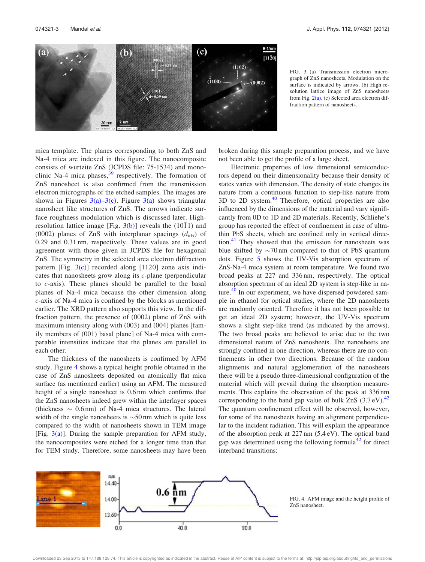

FIG. 3. (a) Transmission electron micrograph of ZnS nanosheets. Modulation on the surface is indicated by arrows. (b) High resolution lattice image of ZnS nanosheets from Fig.  $2(a)$ . (c) Selected area electron diffraction pattern of nanosheets.

mica template. The planes corresponding to both ZnS and Na-4 mica are indexed in this figure. The nanocomposite consists of wurtzite ZnS (JCPDS file: 75-1534) and monoclinic Na-4 mica phases, $39$  respectively. The formation of ZnS nanosheet is also confirmed from the transmission electron micrographs of the etched samples. The images are shown in Figures  $3(a)-3(c)$ . Figure  $3(a)$  shows triangular nanosheet like structures of ZnS. The arrows indicate surface roughness modulation which is discussed later. Highresolution lattice image [Fig.  $3(b)$ ] reveals the  $(10\bar{1}1)$  and (0002) planes of ZnS with interplanar spacings  $(d_{hkl})$  of 0.29 and 0.31 nm, respectively. These values are in good agreement with those given in JCPDS file for hexagonal ZnS. The symmetry in the selected area electron diffraction pattern [Fig. 3(c)] recorded along [11-20] zone axis indicates that nanosheets grow along its c-plane (perpendicular to c-axis). These planes should be parallel to the basal planes of Na-4 mica because the other dimension along c-axis of Na-4 mica is confined by the blocks as mentioned earlier. The XRD pattern also supports this view. In the diffraction pattern, the presence of (0002) plane of ZnS with maximum intensity along with (003) and (004) planes [family members of (001) basal plane] of Na-4 mica with comparable intensities indicate that the planes are parallel to each other.

The thickness of the nanosheets is confirmed by AFM study. Figure 4 shows a typical height profile obtained in the case of ZnS nanosheets deposited on atomically flat mica surface (as mentioned earlier) using an AFM. The measured height of a single nanosheet is 0.6 nm which confirms that the ZnS nanosheets indeed grew within the interlayer spaces (thickness  $\sim 0.6$  nm) of Na-4 mica structures. The lateral width of the single nanosheets is  $\sim$ 50 nm which is quite less compared to the width of nanosheets shown in TEM image [Fig.  $3(a)$ ]. During the sample preparation for AFM study, the nanocomposites were etched for a longer time than that for TEM study. Therefore, some nanosheets may have been broken during this sample preparation process, and we have not been able to get the profile of a large sheet.

Electronic properties of low dimensional semiconductors depend on their dimensionality because their density of states varies with dimension. The density of state changes its nature from a continuous function to step-like nature from  $3D$  to  $2D$  system.<sup>40</sup> Therefore, optical properties are also influenced by the dimensions of the material and vary significantly from 0D to 1D and 2D materials. Recently, Schliehe's group has reported the effect of confinement in case of ultrathin PbS sheets, which are confined only in vertical direction.<sup>41</sup> They showed that the emission for nanosheets was blue shifted by  $\sim$ 70 nm compared to that of PbS quantum dots. Figure 5 shows the UV-Vis absorption spectrum of ZnS-Na-4 mica system at room temperature. We found two broad peaks at 227 and 336 nm, respectively. The optical absorption spectrum of an ideal 2D system is step-like in nature. $40$  In our experiment, we have dispersed powdered sample in ethanol for optical studies, where the 2D nanosheets are randomly oriented. Therefore it has not been possible to get an ideal 2D system; however, the UV-Vis spectrum shows a slight step-like trend (as indicated by the arrows). The two broad peaks are believed to arise due to the two dimensional nature of ZnS nanosheets. The nanosheets are strongly confined in one direction, whereas there are no confinements in other two directions. Because of the random alignments and natural agglomeration of the nanosheets there will be a pseudo three-dimensional configuration of the material which will prevail during the absorption measurements. This explains the observation of the peak at 336 nm corresponding to the band gap value of bulk  $ZnS$  (3.7 eV).<sup>42</sup> The quantum confinement effect will be observed, however, for some of the nanosheets having an alignment perpendicular to the incident radiation. This will explain the appearance of the absorption peak at 227 nm (5.4 eV). The optical band gap was determined using the following formula<sup>42</sup> for direct interband transitions:



FIG. 4. AFM image and the height profile of ZnS nanosheet.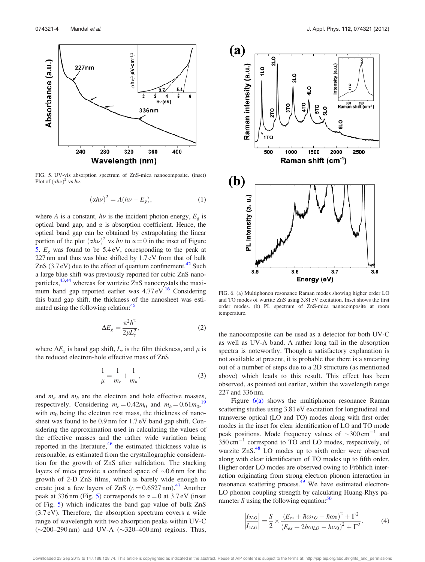

FIG. 5. UV-vis absorption spectrum of ZnS-mica nanocomposite. (inset) Plot of  $(\alpha h\nu)^2$  vs  $h\nu$ .

$$
(\alpha h\nu)^2 = A(h\nu - E_g),\tag{1}
$$

where A is a constant,  $h\nu$  is the incident photon energy,  $E_g$  is optical band gap, and  $\alpha$  is absorption coefficient. Hence, the optical band gap can be obtained by extrapolating the linear portion of the plot  $(\alpha h\nu)^2$  vs  $h\nu$  to  $\alpha = 0$  in the inset of Figure 5.  $E_g$  was found to be 5.4 eV, corresponding to the peak at 227 nm and thus was blue shifted by 1.7 eV from that of bulk ZnS  $(3.7 \text{ eV})$  due to the effect of quantum confinement.<sup>42</sup> Such a large blue shift was previously reported for cubic ZnS nanoparticles, $43,44$  whereas for wurtzite ZnS nanocrystals the maximum band gap reported earlier was  $4.77 \text{ eV}$ .<sup>16</sup> Considering this band gap shift, the thickness of the nanosheet was estimated using the following relation:<sup>45</sup>

$$
\Delta E_g = \frac{\pi^2 \hbar^2}{2\mu L_z^2},\tag{2}
$$

where  $\Delta E_g$  is band gap shift,  $L_z$  is the film thickness, and  $\mu$  is the reduced electron-hole effective mass of ZnS

$$
\frac{1}{\mu} = \frac{1}{m_e} + \frac{1}{m_h},
$$
\n(3)

and  $m_e$  and  $m_h$  are the electron and hole effective masses, respectively. Considering  $m_e = 0.42m_0$  and  $m_h = 0.61m_0$ ,<sup>19</sup> with  $m_0$  being the electron rest mass, the thickness of nanosheet was found to be 0.9 nm for 1.7 eV band gap shift. Considering the approximation used in calculating the values of the effective masses and the rather wide variation being reported in the literature, $46$  the estimated thickness value is reasonable, as estimated from the crystallographic consideration for the growth of ZnS after sulfidation. The stacking layers of mica provide a confined space of  $\sim 0.6$  nm for the growth of 2-D ZnS films, which is barely wide enough to create just a few layers of ZnS  $(c = 0.6527 \text{ nm})^{47}$  Another peak at 336 nm (Fig. 5) corresponds to  $\alpha = 0$  at 3.7 eV (inset of Fig. 5) which indicates the band gap value of bulk ZnS (3.7 eV). Therefore, the absorption spectrum covers a wide range of wavelength with two absorption peaks within UV-C  $(\sim 200 - 290 \text{ nm})$  and UV-A  $(\sim 320 - 400 \text{ nm})$  regions. Thus,



FIG. 6. (a) Multiphonon resonance Raman modes showing higher order LO and TO modes of wurtite ZnS using 3.81 eV excitation. Inset shows the first order modes. (b) PL spectrum of ZnS-mica nanocomposite at room temperature.

the nanocomposite can be used as a detector for both UV-C as well as UV-A band. A rather long tail in the absorption spectra is noteworthy. Though a satisfactory explanation is not available at present, it is probable that there is a smearing out of a number of steps due to a 2D structure (as mentioned above) which leads to this result. This effect has been observed, as pointed out earlier, within the wavelength range 227 and 336 nm.

Figure  $6(a)$  shows the multiphonon resonance Raman scattering studies using 3.81 eV excitation for longitudinal and transverse optical (LO and TO) modes along with first order modes in the inset for clear identification of LO and TO mode peak positions. Mode frequency values of  $\sim 300 \text{ cm}^{-1}$  and  $350 \text{ cm}^{-1}$  correspond to TO and LO modes, respectively, of wurzite ZnS.<sup>48</sup> LO modes up to sixth order were observed along with clear identification of TO modes up to fifth order. Higher order LO modes are observed owing to Fröhlich interaction originating from strong electron phonon interaction in resonance scattering process. $\frac{49}{19}$  We have estimated electron-LO phonon coupling strength by calculating Huang-Rhys parameter S using the following equation: $50$ 

$$
\left|\frac{I_{2LO}}{I_{1LO}}\right| = \frac{S}{2} \times \frac{\left(E_{ex} + \hbar \omega_{LO} - \hbar \omega_0\right)^2 + \Gamma^2}{\left(E_{ex} + 2\hbar \omega_{LO} - \hbar \omega_0\right)^2 + \Gamma^2}.
$$
 (4)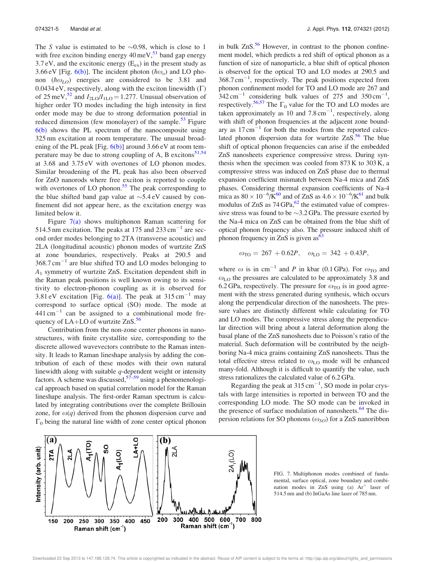The S value is estimated to be  $\sim 0.98$ , which is close to 1 with free exciton binding energy  $40 \,\text{meV}$ ,  $51 \text{ band}$  gap energy 3.7 eV, and the excitonic energy  $(E_{ex})$  in the present study as 3.66 eV [Fig. 6(b)]. The incident photon  $(\hbar \omega_o)$  and LO phonon  $(h\omega_{LO})$  energies are considered to be 3.81 and 0.0434 eV, respectively, along with the exciton linewidth  $(\Gamma)$ of 25 meV,<sup>52</sup> and  $I_{2LO}/I_{1LO} = 1.277$ . Unusual observation of higher order TO modes including the high intensity in first order mode may be due to strong deformation potential in reduced dimension (few monolayer) of the sample.<sup>53</sup> Figure 6(b) shows the PL spectrum of the nanocomposite using 325 nm excitation at room temperature. The unusual broadening of the PL peak [Fig.  $6(b)$ ] around 3.66 eV at room temperature may be due to strong coupling of A, B excitons $51,54$ at 3.68 and 3.75 eV with overtones of LO phonon modes. Similar broadening of the PL peak has also been observed for ZnO nanorods where free exciton is reported to couple with overtones of LO phonon.<sup>55</sup> The peak corresponding to the blue shifted band gap value at  $\sim$ 5.4 eV caused by confinement did not appear here, as the excitation energy was limited below it.

Figure  $7(a)$  shows multiphonon Raman scattering for 514.5 nm excitation. The peaks at 175 and  $233 \text{ cm}^{-1}$  are second order modes belonging to 2TA (transverse acoustic) and 2LA (longitudinal acoustic) phonon modes of wurtzite ZnS at zone boundaries, respectively. Peaks at 290.5 and  $368.7 \text{ cm}^{-1}$  are blue shifted TO and LO modes belonging to A<sup>1</sup> symmetry of wurtzite ZnS. Excitation dependent shift in the Raman peak positions is well known owing to its sensitivity to electron-phonon coupling as it is observed for 3.81 eV excitation [Fig.  $6(a)$ ]. The peak at 315 cm<sup>-1</sup> may correspond to surface optical (SO) mode. The mode at  $441 \text{ cm}^{-1}$  can be assigned to a combinational mode frequency of LA+LO of wurtzite  $ZnS$ .<sup>56</sup>

Contribution from the non-zone center phonons in nanostructures, with finite crystallite size, corresponding to the discrete allowed wavevectors contribute to the Raman intensity. It leads to Raman lineshape analysis by adding the contribution of each of these modes with their own natural linewidth along with suitable  $q$ -dependent weight or intensity factors. A scheme was discussed,  $57-59$  using a phenomenological approach based on spatial correlation model for the Raman lineshape analysis. The first-order Raman spectrum is calculated by integrating contributions over the complete Brillouin zone, for  $\omega(q)$  derived from the phonon dispersion curve and  $\Gamma_0$  being the natural line width of zone center optical phonon in bulk  $ZnS<sup>56</sup>$  However, in contrast to the phonon confinement model, which predicts a red shift of optical phonon as a function of size of nanoparticle, a blue shift of optical phonon is observed for the optical TO and LO modes at 290.5 and  $368.7 \text{ cm}^{-1}$ , respectively. The peak positions expected from phonon confinement model for TO and LO mode are 267 and  $342 \text{ cm}^{-1}$  considering bulk values of 275 and 350 cm<sup>-1</sup>, respectively.<sup>56,57</sup> The  $\Gamma_0$  value for the TO and LO modes are taken approximately as 10 and  $7.8 \text{ cm}^{-1}$ , respectively, along with shift of phonon frequencies at the adjacent zone boundary as  $17 \text{ cm}^{-1}$  for both the modes from the reported calculated phonon dispersion data for wurtzite  $ZnS<sup>56</sup>$ . The blue shift of optical phonon frequencies can arise if the embedded ZnS nanosheets experience compressive stress. During synthesis when the specimen was cooled from 873 K to 303 K, a compressive stress was induced on ZnS phase due to thermal expansion coefficient mismatch between Na-4 mica and ZnS phases. Considering thermal expansion coefficients of Na-4 mica as  $80 \times 10^{-6}$ /K<sup>60</sup> and of ZnS as  $4.6 \times 10^{-6}$ /K<sup>61</sup> and bulk modulus of ZnS as  $74 \text{ GPa}$ ,  $^{62}$  the estimated value of compressive stress was found to be  $\sim$ 3.2 GPa. The pressure exerted by the Na-4 mica on ZnS can be obtained from the blue shift of optical phonon frequency also. The pressure induced shift of phonon frequency in ZnS is given  $as^{63}$ 

$$
\omega_{\rm TO} = 267 + 0.62P, \quad \omega_{\rm LO} = 342 + 0.43P,
$$

where  $\omega$  is in cm<sup>-1</sup> and P in kbar (0.1 GPa). For  $\omega_{\text{TO}}$  and  $\omega_{\text{LO}}$  the pressures are calculated to be approximately 3.8 and 6.2 GPa, respectively. The pressure for  $\omega_{\text{TO}}$  is in good agreement with the stress generated during synthesis, which occurs along the perpendicular direction of the nanosheets. The pressure values are distinctly different while calculating for TO and LO modes. The compressive stress along the perpendicular direction will bring about a lateral deformation along the basal plane of the ZnS nanosheets due to Poisson's ratio of the material. Such deformation will be contributed by the neighboring Na-4 mica grains containing ZnS nanosheets. Thus the total effective stress related to  $\omega_{\text{LO}}$  mode will be enhanced many-fold. Although it is difficult to quantify the value, such stress rationalizes the calculated value of 6.2 GPa.

Regarding the peak at  $315 \text{ cm}^{-1}$ , SO mode in polar crystals with large intensities is reported in between TO and the corresponding LO mode. The SO mode can be invoked in the presence of surface modulation of nanosheets. $64$  The dispersion relations for SO phonons ( $\omega_{SO}$ ) for a ZnS nanoribbon



FIG. 7. Multiphonon modes combined of fundamental, surface optical, zone boundary and combination modes in ZnS using (a)  $Ar^+$  laser of 514.5 nm and (b) InGaAs line laser of 785 nm.

Downloaded 23 Sep 2013 to 147.188.128.74. This article is copyrighted as indicated in the abstract. Reuse of AIP content is subject to the terms at: http://jap.aip.org/about/rights\_and\_permissions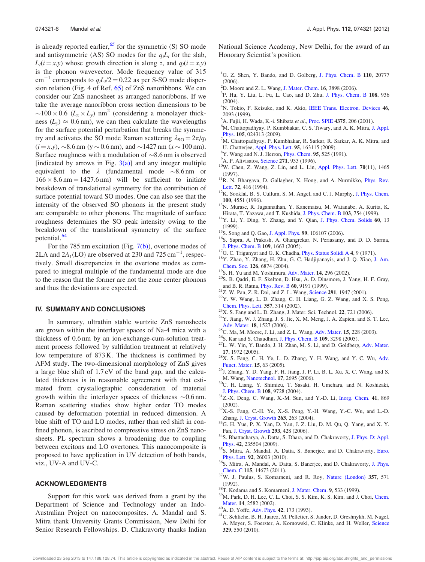is already reported earlier, $65$  for the symmetric (S) SO mode and antisymmetric (AS) SO modes for the  $q_iL_i$  for the slab,  $L_i(i = x, y)$  whose growth direction is along z, and  $q_i(i = x, y)$ is the phonon wavevector. Mode frequency value of 315 cm<sup>-1</sup> corresponds to  $q_i L_i/2 = 0.22$  as per S-SO mode dispersion relation (Fig. 4 of Ref. 65) of ZnS nanoribbons. We can consider our ZnS nanosheet as arranged nanoribbons. If we take the average nanoribbon cross section dimensions to be  $\sim$ 100 × 0.6 ( $\overline{L_x}$  ×  $\overline{L_y}$ ) nm<sup>2</sup> (considering a monolayer thickness ( $L_y$ )  $\approx 0.6$  nm), we can then calculate the wavelengths for the surface potential perturbation that breaks the symmetry and activates the SO mode Raman scattering  $\lambda_{\text{SO}} = 2\pi/q_i$  $(i = x, y)$ ,  $\sim$ 8.6 nm (y  $\sim$  0.6 nm), and  $\sim$ 1427 nm (x  $\sim$  100 nm). Surface roughness with a modulation of  $\sim 8.6$  nm is observed [indicated by arrows in Fig.  $3(a)$ ] and any integer multiple equivalent to the  $\lambda$  (fundamental mode  $\sim$ 8.6 nm or  $166 \times 8.6$  nm = 1427.6 nm) will be sufficient to initiate breakdown of translational symmetry for the contribution of surface potential toward SO modes. One can also see that the intensity of the observed SO phonons in the present study are comparable to other phonons. The magnitude of surface roughness determines the SO peak intensity owing to the breakdown of the translational symmetry of the surface potential.<sup>64</sup>

For the 785 nm excitation (Fig. 7(b)), overtone modes of 2LA and  $2A_1$ (LO) are observed at 230 and 725 cm<sup>-1</sup>, respectively. Small discrepancies in the overtone modes as compared to integral multiple of the fundamental mode are due to the reason that the former are not the zone center phonons and thus the deviations are expected.

#### IV. SUMMARY AND CONCLUSIONS

In summary, ultrathin stable wurtzite ZnS nanosheets are grown within the interlayer spaces of Na-4 mica with a thickness of 0.6 nm by an ion-exchange-cum-solution treatment process followed by sulfidation treatment at relatively low temperature of 873 K. The thickness is confirmed by AFM study. The two-dimensional morphology of ZnS gives a large blue shift of 1.7 eV of the band gap, and the calculated thickness is in reasonable agreement with that estimated from crystallographic consideration of material growth within the interlayer spaces of thickness  $\sim 0.6$  nm. Raman scattering studies show higher order TO modes caused by deformation potential in reduced dimension. A blue shift of TO and LO modes, rather than red shift in confined phonon, is ascribed to compressive stress on ZnS nanosheets. PL spectrum shows a broadening due to coupling between excitons and LO overtones. This nanocomposite is proposed to have application in UV detection of both bands, viz., UV-A and UV-C.

#### ACKNOWLEDGMENTS

Support for this work was derived from a grant by the Department of Science and Technology under an Indo-Australian Project on nanocomposites. A. Mandal and S. Mitra thank University Grants Commission, New Delhi for Senior Research Fellowships. D. Chakravorty thanks Indian National Science Academy, New Delhi, for the award of an Honorary Scientist's position.

- <sup>1</sup>G. Z. Shen, Y. Bando, and D. Golberg, J. Phys. Chem. B 110, 20777 (2006).
- <sup>2</sup>D. Moore and Z. L. Wang, J. Mater. Chem. 16, 3898 (2006).
- 3 P. Hu, Y. Liu, L. Fu, L. Cao, and D. Zhu, J. Phys. Chem. B 108, 936  $(2004)$ .
- $4N$ . Tokio, F. Keisuke, and K. Akio, IEEE Trans. Electron. Devices 46, 2093 (1999).
- <sup>5</sup>A. Fujii, H. Wada, K.-i. Shibata et al., Proc. SPIE 4375, 206 (2001).
- <sup>6</sup>M. Chattopadhyay, P. Kumbhakar, C. S. Tiwary, and A. K. Mitra, J. Appl. Phys. 105, 024313 (2009).
- <sup>7</sup>M. Chattopadhyay, P. Kumbhakar, R. Sarkar, R. Sarkar, A. K. Mitra, and U. Chatterjee, Appl. Phys. Lett. 95, 163115 (2009).
- ${}^{8}Y$ . Wang and N. J. Herron, *Phys. Chem.* **95**, 525 (1991).
- A. P. Alivisatos, Science 271, 933 (1996).
- <sup>10</sup>W. Chen, Z. Wang, Z. Lin, and L. Lin, Appl. Phys. Lett. 70(11), 1465 (1997).
- <sup>11</sup>R. N. Bhargava, D. Gallagher, X. Hong, and A. Nurmikko, *Phys. Rev.* Lett. 72, 416 (1994).
- <sup>12</sup>K. Sooklal, B. S. Cullum, S. M. Angel, and C. J. Murphy, J. Phys. Chem. 100, 4551 (1996).
- <sup>13</sup>N. Murase, R. Jagannathan, Y. Kanematsu, M. Watanabe, A. Kurita, K. Hirata, T. Yazawa, and T. Kushida, J. Phys. Chem. B 103, 754 (1999).
- <sup>14</sup>Y. Li, Y. Ding, Y. Zhang, and Y. Qian, J. Phys. Chem. Solids 60, 13 (1999).
- <sup>15</sup>S. Song and Q. Gao, J. Appl. Phys. 99, 106107 (2006).
- <sup>16</sup>S. Sapra, A. Prakash, A. Ghangrekar, N. Periasamy, and D. D. Sarma, J. Phys. Chem. B 109, 1663 (2005).
- <sup>17</sup>G. C. Trigunyat and G. K. Chadha, *Phys. Status Solidi A 4, 9 (1971)*.
- <sup>18</sup>Y. Zhao, Y. Zhang, H. Zhu, G. C. Hadjipanayis, and J. Q. Xiao, J. Am. Chem. Soc. 126, 6874 (2004).
- <sup>19</sup>S. H. Yu and M. Yoshimura, Adv. Mater. 14, 296 (2002).
- <sup>20</sup>S. B. Qadri, E. F. Skelton, D. Hsu, A. D. Dinsmore, J. Yang, H. F. Gray, and B. R. Ratna, Phys. Rev. B 60, 9191 (1999).
	- $21$ Z. W. Pan, Z. R. Dai, and Z. L. Wang, Science 291, 1947 (2001).
	- <sup>22</sup>Y. W. Wang, L. D. Zhang, C. H. Liang, G. Z. Wang, and X. S. Peng, Chem. Phys. Lett. 357, 314 (2002).
	- <sup>23</sup>X. S. Fang and L. D. Zhang, J. Mater. Sci. Technol. 22, 721 (2006).
	- <sup>24</sup>Y. Jiang, W. J. Zhang, J. S. Jie, X. M. Meng, J. A. Zapien, and S. T. Lee, Adv. Mater. 18, 1527 (2006).
- <sup>25</sup>C. Ma, M. Moore, J. Li, and Z. L. Wang, Adv. Mater. **15**, 228 (2003).
- <sup>26</sup>S. Kar and S. Chaudhuri, J. Phys. Chem. B 109, 3298 (2005).
- <sup>27</sup>L. W. Yin, Y. Bando, J. H. Zhan, M. S. Li, and D. Goldberg, Adv. Mater. 17, 1972 (2005).
- <sup>28</sup>X. S. Fang, C. H. Ye, L. D. Zhang, Y. H. Wang, and Y. C. Wu, Adv. Funct. Mater. 15, 63 (2005).
- <sup>29</sup>J. Zhang, Y. D. Yang, F. H. Jiang, J. P. Li, B. L. Xu, X. C. Wang, and S. M. Wang, Nanotechnol. 17, 2695 (2006).
- <sup>30</sup>C. H. Liang, Y. Shimizu, T. Sasaki, H. Umehara, and N. Koshizaki, J. Phys. Chem. B 108, 9728 (2004).
- <sup>31</sup>Z.-X. Deng, C. Wang, X.-M. Sun, and Y.-D. Li, Inorg. Chem. 41, 869 (2002).
- <sup>32</sup>X.-S. Fang, C.-H. Ye, X.-S. Peng, Y.-H. Wang, Y.-C. Wu, and L.-D. Zhang, J. Cryst. Growth 263, 263 (2004).
- <sup>33</sup>G. H. Yue, P. X. Yan, D. Yan, J. Z. Liu, D. M. Qu, Q. Yang, and X. Y. Fan, J. Cryst. Growth 293, 428 (2006).
- <sup>34</sup>S. Bhattacharya, A. Datta, S. Dhara, and D. Chakravorty, J. Phys. D: Appl. Phys. 42, 235504 (2009).
- <sup>35</sup>S. Mitra, A. Mandal, A. Datta, S. Banerjee, and D. Chakravorty, Euro. Phys. Lett. 92, 26003 (2010).
- <sup>36</sup>S. Mitra, A. Mandal, A. Datta, S. Banerjee, and D. Chakravorty, J. Phys. Chem. C 115, 14673 (2011).
- <sup>37</sup>W. J. Paulus, S. Komarneni, and R. Roy, Nature (London) 357, 571 (1992).
- <sup>38</sup>T. Kodama and S. Komarneni, J. Mater. Chem. 9, 533 (1999).
- <sup>39</sup>M. Park, D. H. Lee, C. L. Choi, S. S. Kim, K. S. Kim, and J. Choi, Chem. Mater. 14, 2582 (2002).
- <sup>40</sup>A. D. Yoffe, Adv. Phys. 42, 173 (1993).
- <sup>41</sup>C. Schliehe, B. H. Juarez, M. Pelletier, S. Jander, D. Greshnykh, M. Nagel, A. Meyer, S. Foerster, A. Kornowski, C. Klinke, and H. Weller, Science 329, 550 (2010).